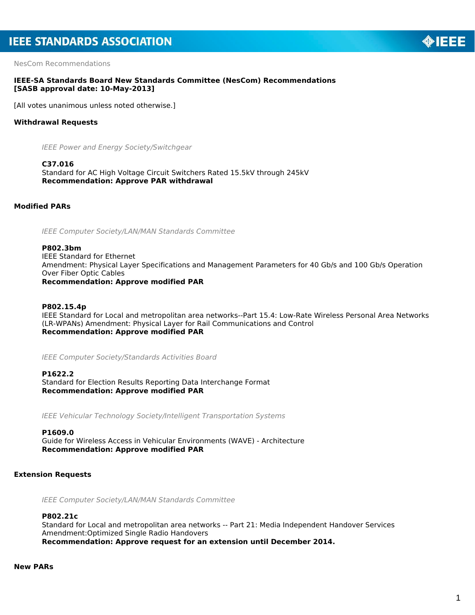NesCom Recommendations

## **IEEE-SA Standards Board New Standards Committee (NesCom) Recommendations [SASB approval date: 10-May-2013]**

[All votes unanimous unless noted otherwise.]

# **Withdrawal Requests**

*IEEE Power and Energy Society/Switchgear*

**C37.016** Standard for AC High Voltage Circuit Switchers Rated 15.5kV through 245kV *Recommendation: Approve PAR withdrawal*

**Modified PARs**

*IEEE Computer Society/LAN/MAN Standards Committee*

**P802.3bm** IEEE Standard for Ethernet Amendment: Physical Layer Specifications and Management Parameters for 40 Gb/s and 100 Gb/s Operation Over Fiber Optic Cables *Recommendation: Approve modified PAR*

**P802.15.4p** IEEE Standard for Local and metropolitan area networks--Part 15.4: Low-Rate Wireless Personal Area Networks (LR-WPANs) Amendment: Physical Layer for Rail Communications and Control *Recommendation: Approve modified PAR*

*IEEE Computer Society/Standards Activities Board*

**P1622.2** Standard for Election Results Reporting Data Interchange Format *Recommendation: Approve modified PAR*

*IEEE Vehicular Technology Society/Intelligent Transportation Systems*

## **P1609.0**

Guide for Wireless Access in Vehicular Environments (WAVE) - Architecture *Recommendation: Approve modified PAR*

# **Extension Requests**

*IEEE Computer Society/LAN/MAN Standards Committee*

# **P802.21c**

Standard for Local and metropolitan area networks -- Part 21: Media Independent Handover Services Amendment:Optimized Single Radio Handovers *Recommendation: Approve request for an extension until December 2014.*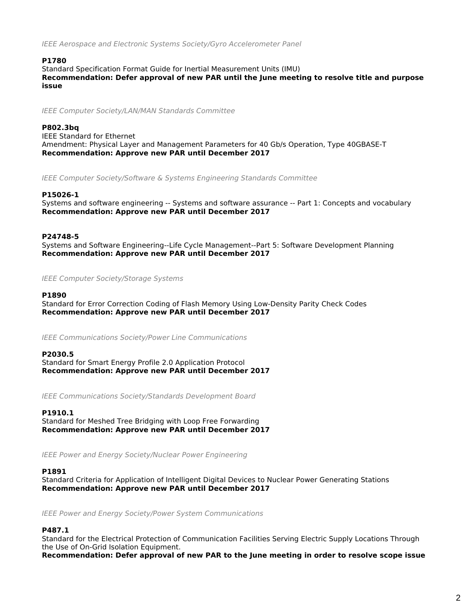*IEEE Aerospace and Electronic Systems Society/Gyro Accelerometer Panel*

## **P1780**

Standard Specification Format Guide for Inertial Measurement Units (IMU)

*Recommendation: Defer approval of new PAR until the June meeting to resolve title and purpose issue*

*IEEE Computer Society/LAN/MAN Standards Committee*

## **P802.3bq**

IEEE Standard for Ethernet Amendment: Physical Layer and Management Parameters for 40 Gb/s Operation, Type 40GBASE-T *Recommendation: Approve new PAR until December 2017*

*IEEE Computer Society/Software & Systems Engineering Standards Committee*

## **P15026-1**

Systems and software engineering -- Systems and software assurance -- Part 1: Concepts and vocabulary *Recommendation: Approve new PAR until December 2017*

## **P24748-5**

Systems and Software Engineering--Life Cycle Management--Part 5: Software Development Planning *Recommendation: Approve new PAR until December 2017*

*IEEE Computer Society/Storage Systems*

## **P1890**

Standard for Error Correction Coding of Flash Memory Using Low-Density Parity Check Codes *Recommendation: Approve new PAR until December 2017*

*IEEE Communications Society/Power Line Communications*

## **P2030.5**

Standard for Smart Energy Profile 2.0 Application Protocol *Recommendation: Approve new PAR until December 2017*

*IEEE Communications Society/Standards Development Board*

### **P1910.1**

Standard for Meshed Tree Bridging with Loop Free Forwarding *Recommendation: Approve new PAR until December 2017*

*IEEE Power and Energy Society/Nuclear Power Engineering*

## **P1891**

Standard Criteria for Application of Intelligent Digital Devices to Nuclear Power Generating Stations *Recommendation: Approve new PAR until December 2017*

*IEEE Power and Energy Society/Power System Communications*

## **P487.1**

Standard for the Electrical Protection of Communication Facilities Serving Electric Supply Locations Through the Use of On-Grid Isolation Equipment.

*Recommendation: Defer approval of new PAR to the June meeting in order to resolve scope issue*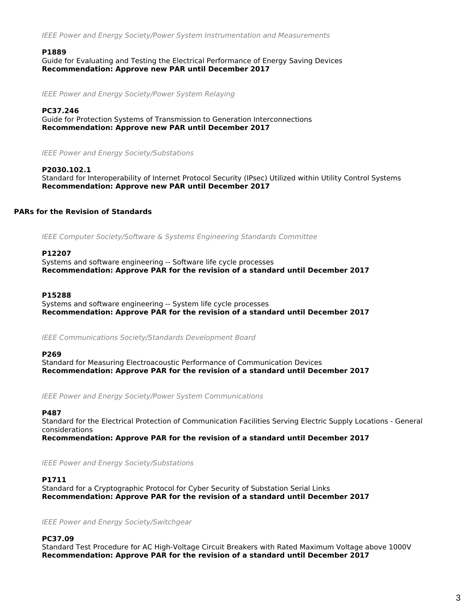*IEEE Power and Energy Society/Power System Instrumentation and Measurements*

### **P1889**

Guide for Evaluating and Testing the Electrical Performance of Energy Saving Devices *Recommendation: Approve new PAR until December 2017*

*IEEE Power and Energy Society/Power System Relaying*

### **PC37.246**

Guide for Protection Systems of Transmission to Generation Interconnections *Recommendation: Approve new PAR until December 2017*

*IEEE Power and Energy Society/Substations*

#### **P2030.102.1**

Standard for Interoperability of Internet Protocol Security (IPsec) Utilized within Utility Control Systems *Recommendation: Approve new PAR until December 2017*

## **PARs for the Revision of Standards**

*IEEE Computer Society/Software & Systems Engineering Standards Committee*

### **P12207**

Systems and software engineering -- Software life cycle processes *Recommendation: Approve PAR for the revision of a standard until December 2017*

#### **P15288**

Systems and software engineering -- System life cycle processes *Recommendation: Approve PAR for the revision of a standard until December 2017*

*IEEE Communications Society/Standards Development Board*

#### **P269**

Standard for Measuring Electroacoustic Performance of Communication Devices *Recommendation: Approve PAR for the revision of a standard until December 2017*

*IEEE Power and Energy Society/Power System Communications*

## **P487**

Standard for the Electrical Protection of Communication Facilities Serving Electric Supply Locations - General considerations

*Recommendation: Approve PAR for the revision of a standard until December 2017*

*IEEE Power and Energy Society/Substations*

## **P1711**

Standard for a Cryptographic Protocol for Cyber Security of Substation Serial Links *Recommendation: Approve PAR for the revision of a standard until December 2017*

*IEEE Power and Energy Society/Switchgear*

## **PC37.09**

Standard Test Procedure for AC High-Voltage Circuit Breakers with Rated Maximum Voltage above 1000V *Recommendation: Approve PAR for the revision of a standard until December 2017*